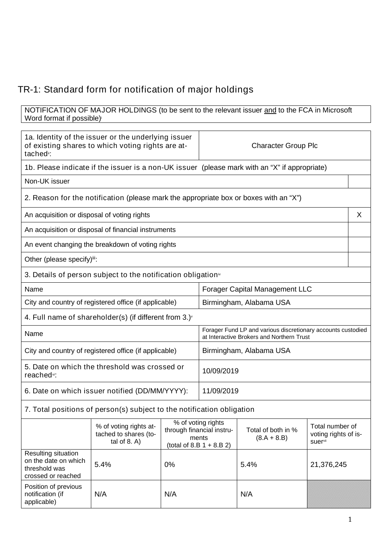## TR-1: Standard form for notification of major holdings

## NOTIFICATION OF MAJOR HOLDINGS (to be sent to the relevant issuer <u>and</u> to the FCA in Microsoft Word format if possible)

| 1a. Identity of the issuer or the underlying issuer<br>of existing shares to which voting rights are at-<br>tached <sup>i</sup> : |                                                                          |            | <b>Character Group Plc</b>                                                                                |                                       |                                                    |  |
|-----------------------------------------------------------------------------------------------------------------------------------|--------------------------------------------------------------------------|------------|-----------------------------------------------------------------------------------------------------------|---------------------------------------|----------------------------------------------------|--|
|                                                                                                                                   |                                                                          |            | 1b. Please indicate if the issuer is a non-UK issuer (please mark with an "X" if appropriate)             |                                       |                                                    |  |
| Non-UK issuer                                                                                                                     |                                                                          |            |                                                                                                           |                                       |                                                    |  |
| 2. Reason for the notification (please mark the appropriate box or boxes with an "X")                                             |                                                                          |            |                                                                                                           |                                       |                                                    |  |
| An acquisition or disposal of voting rights                                                                                       |                                                                          |            |                                                                                                           |                                       | X                                                  |  |
|                                                                                                                                   | An acquisition or disposal of financial instruments                      |            |                                                                                                           |                                       |                                                    |  |
|                                                                                                                                   | An event changing the breakdown of voting rights                         |            |                                                                                                           |                                       |                                                    |  |
| Other (please specify)ii:                                                                                                         |                                                                          |            |                                                                                                           |                                       |                                                    |  |
|                                                                                                                                   | 3. Details of person subject to the notification obligation <sup>®</sup> |            |                                                                                                           |                                       |                                                    |  |
| Name                                                                                                                              |                                                                          |            |                                                                                                           | <b>Forager Capital Management LLC</b> |                                                    |  |
| City and country of registered office (if applicable)                                                                             |                                                                          |            | Birmingham, Alabama USA                                                                                   |                                       |                                                    |  |
|                                                                                                                                   | 4. Full name of shareholder(s) (if different from 3.) $\check{ }$        |            |                                                                                                           |                                       |                                                    |  |
| Name                                                                                                                              |                                                                          |            | Forager Fund LP and various discretionary accounts custodied<br>at Interactive Brokers and Northern Trust |                                       |                                                    |  |
| City and country of registered office (if applicable)                                                                             |                                                                          |            |                                                                                                           | Birmingham, Alabama USA               |                                                    |  |
| 5. Date on which the threshold was crossed or<br>reached <sup>vi</sup> :                                                          |                                                                          | 10/09/2019 |                                                                                                           |                                       |                                                    |  |
| 6. Date on which issuer notified (DD/MM/YYYY):                                                                                    |                                                                          | 11/09/2019 |                                                                                                           |                                       |                                                    |  |
| 7. Total positions of person(s) subject to the notification obligation                                                            |                                                                          |            |                                                                                                           |                                       |                                                    |  |
|                                                                                                                                   | % of voting rights at-<br>tached to shares (to-<br>tal of $8. A$ )       |            | % of voting rights<br>through financial instru-<br>ments<br>(total of 8.B $1 + 8.B 2$ )                   | Total of both in %<br>$(8.A + 8.B)$   | Total number of<br>voting rights of is-<br>suervii |  |
| Resulting situation<br>on the date on which<br>threshold was<br>crossed or reached                                                | 5.4%                                                                     | 0%         |                                                                                                           | 5.4%                                  | 21,376,245                                         |  |
| Position of previous<br>notification (if<br>applicable)                                                                           | N/A                                                                      | N/A        |                                                                                                           | N/A                                   |                                                    |  |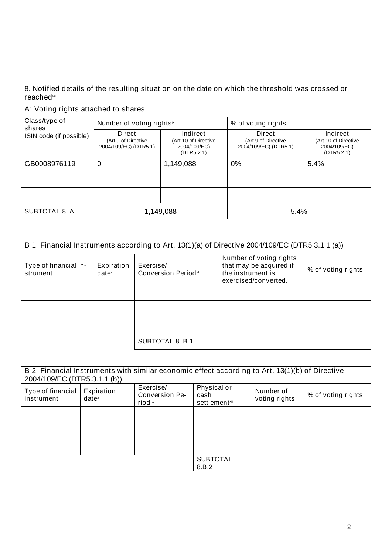| 8. Notified details of the resulting situation on the date on which the threshold was crossed or |  |
|--------------------------------------------------------------------------------------------------|--|
| reached™                                                                                         |  |

## A: Voting rights attached to shares

| Class/type of<br>shares<br>ISIN code (if possible) | Number of voting rights <sup>ix</sup>                  |                                                                | % of voting rights                                     |                                                                |
|----------------------------------------------------|--------------------------------------------------------|----------------------------------------------------------------|--------------------------------------------------------|----------------------------------------------------------------|
|                                                    | Direct<br>(Art 9 of Directive<br>2004/109/EC) (DTR5.1) | Indirect<br>(Art 10 of Directive<br>2004/109/EC)<br>(DTR5.2.1) | Direct<br>(Art 9 of Directive<br>2004/109/EC) (DTR5.1) | Indirect<br>(Art 10 of Directive<br>2004/109/EC)<br>(DTR5.2.1) |
| GB0008976119                                       | 0                                                      | 1,149,088                                                      | 0%                                                     | 5.4%                                                           |
|                                                    |                                                        |                                                                |                                                        |                                                                |
|                                                    |                                                        |                                                                |                                                        |                                                                |
| SUBTOTAL 8. A                                      | 1,149,088                                              |                                                                | 5.4%                                                   |                                                                |

| B 1: Financial Instruments according to Art. 13(1)(a) of Directive 2004/109/EC (DTR5.3.1.1 (a)) |                                 |                                  |                                                                                                 |                    |
|-------------------------------------------------------------------------------------------------|---------------------------------|----------------------------------|-------------------------------------------------------------------------------------------------|--------------------|
| Type of financial in-<br>strument                                                               | Expiration<br>date <sup>x</sup> | Exercise/<br>Conversion Periodxi | Number of voting rights<br>that may be acquired if<br>the instrument is<br>exercised/converted. | % of voting rights |
|                                                                                                 |                                 |                                  |                                                                                                 |                    |
|                                                                                                 |                                 |                                  |                                                                                                 |                    |
|                                                                                                 |                                 |                                  |                                                                                                 |                    |
|                                                                                                 |                                 | SUBTOTAL 8. B 1                  |                                                                                                 |                    |

| 2004/109/EC (DTR5.3.1.1 (b))    |                                 |                                               | B 2: Financial Instruments with similar economic effect according to Art. 13(1)(b) of Directive |                            |                    |
|---------------------------------|---------------------------------|-----------------------------------------------|-------------------------------------------------------------------------------------------------|----------------------------|--------------------|
| Type of financial<br>instrument | Expiration<br>date <sup>x</sup> | Exercise/<br><b>Conversion Pe-</b><br>riod xi | Physical or<br>cash<br>settlementxii                                                            | Number of<br>voting rights | % of voting rights |
|                                 |                                 |                                               |                                                                                                 |                            |                    |
|                                 |                                 |                                               |                                                                                                 |                            |                    |
|                                 |                                 |                                               |                                                                                                 |                            |                    |
|                                 |                                 |                                               | <b>SUBTOTAL</b><br>8.B.2                                                                        |                            |                    |